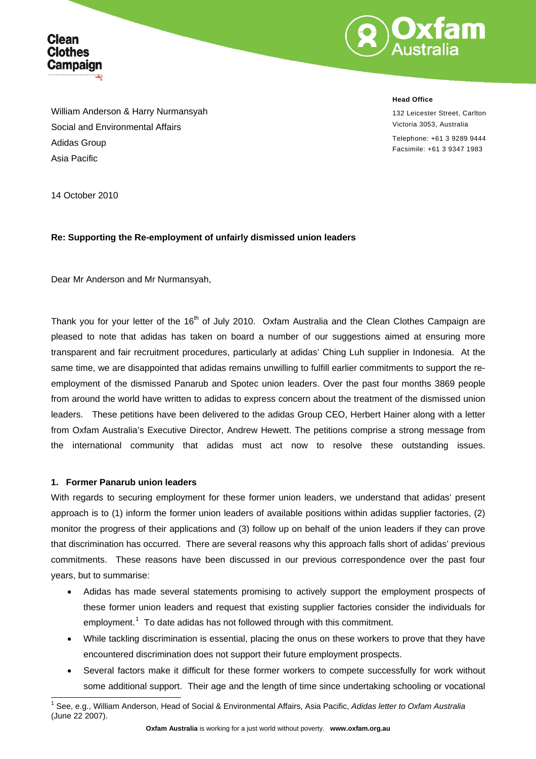



William Anderson & Harry Nurmansyah Social and Environmental Affairs Adidas Group Asia Pacific

**Head Office**

132 Leicester Street, Carlton Victoria 3053, Australia

Telephone: +61 3 9289 9444 Facsimile: +61 3 9347 1983

14 October 2010

### **Re: Supporting the Re-employment of unfairly dismissed union leaders**

Dear Mr Anderson and Mr Nurmansyah,

Thank you for your letter of the 16<sup>th</sup> of July 2010. Oxfam Australia and the Clean Clothes Campaign are pleased to note that adidas has taken on board a number of our suggestions aimed at ensuring more transparent and fair recruitment procedures, particularly at adidas' Ching Luh supplier in Indonesia. At the same time, we are disappointed that adidas remains unwilling to fulfill earlier commitments to support the reemployment of the dismissed Panarub and Spotec union leaders. Over the past four months 3869 people from around the world have written to adidas to express concern about the treatment of the dismissed union leaders. These petitions have been delivered to the adidas Group CEO, Herbert Hainer along with a letter from Oxfam Australia's Executive Director, Andrew Hewett. The petitions comprise a strong message from the international community that adidas must act now to resolve these outstanding issues.

#### **1. Former Panarub union leaders**

l

With regards to securing employment for these former union leaders, we understand that adidas' present approach is to (1) inform the former union leaders of available positions within adidas supplier factories, (2) monitor the progress of their applications and (3) follow up on behalf of the union leaders if they can prove that discrimination has occurred. There are several reasons why this approach falls short of adidas' previous commitments. These reasons have been discussed in our previous correspondence over the past four years, but to summarise:

- Adidas has made several statements promising to actively support the employment prospects of these former union leaders and request that existing supplier factories consider the individuals for employment.<sup>[1](#page-0-0)</sup> To date adidas has not followed through with this commitment.
- While tackling discrimination is essential, placing the onus on these workers to prove that they have encountered discrimination does not support their future employment prospects.
- Several factors make it difficult for these former workers to compete successfully for work without some additional support. Their age and the length of time since undertaking schooling or vocational

<span id="page-0-0"></span><sup>1</sup> See, e.g., William Anderson, Head of Social & Environmental Affairs, Asia Pacific, *Adidas letter to Oxfam Australia* (June 22 2007).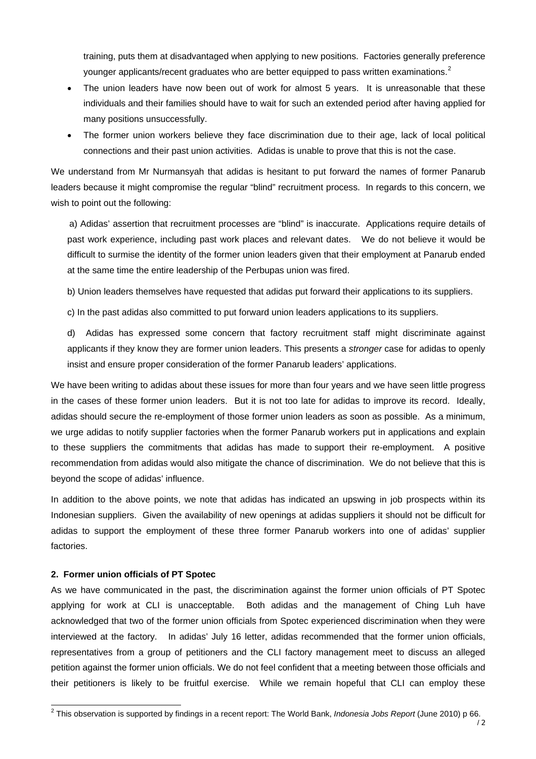training, puts them at disadvantaged when applying to new positions. Factories generally preference younger applicants/recent graduates who are better equipped to pass written examinations.<sup>2</sup>

- The union leaders have now been out of work for almost 5 years. It is unreasonable that these individuals and their families should have to wait for such an extended period after having applied for many positions unsuccessfully.
- The former union workers believe they face discrimination due to their age, lack of local political connections and their past union activities. Adidas is unable to prove that this is not the case.

We understand from Mr Nurmansyah that adidas is hesitant to put forward the names of former Panarub leaders because it might compromise the regular "blind" recruitment process. In regards to this concern, we wish to point out the following:

a) Adidas' assertion that recruitment processes are "blind" is inaccurate. Applications require details of past work experience, including past work places and relevant dates. We do not believe it would be difficult to surmise the identity of the former union leaders given that their employment at Panarub ended at the same time the entire leadership of the Perbupas union was fired.

b) Union leaders themselves have requested that adidas put forward their applications to its suppliers.

c) In the past adidas also committed to put forward union leaders applications to its suppliers.

d) Adidas has expressed some concern that factory recruitment staff might discriminate against applicants if they know they are former union leaders. This presents a *stronger* case for adidas to openly insist and ensure proper consideration of the former Panarub leaders' applications.

We have been writing to adidas about these issues for more than four years and we have seen little progress in the cases of these former union leaders. But it is not too late for adidas to improve its record. Ideally, adidas should secure the re-employment of those former union leaders as soon as possible. As a minimum, we urge adidas to notify supplier factories when the former Panarub workers put in applications and explain to these suppliers the commitments that adidas has made to support their re-employment. A positive recommendation from adidas would also mitigate the chance of discrimination. We do not believe that this is beyond the scope of adidas' influence.

In addition to the above points, we note that adidas has indicated an upswing in job prospects within its Indonesian suppliers. Given the availability of new openings at adidas suppliers it should not be difficult for adidas to support the employment of these three former Panarub workers into one of adidas' supplier factories.

### **2. Former union officials of PT Spotec**

As we have communicated in the past, the discrimination against the former union officials of PT Spotec applying for work at CLI is unacceptable. Both adidas and the management of Ching Luh have acknowledged that two of the former union officials from Spotec experienced discrimination when they were interviewed at the factory. In adidas' July 16 letter, adidas recommended that the former union officials, representatives from a group of petitioners and the CLI factory management meet to discuss an alleged petition against the former union officials. We do not feel confident that a meeting between those officials and their petitioners is likely to be fruitful exercise. While we remain hopeful that CLI can employ these

 2 This observation is supported by findings in a recent report: The World Bank, *Indonesia Jobs Report* (June 2010) p 66.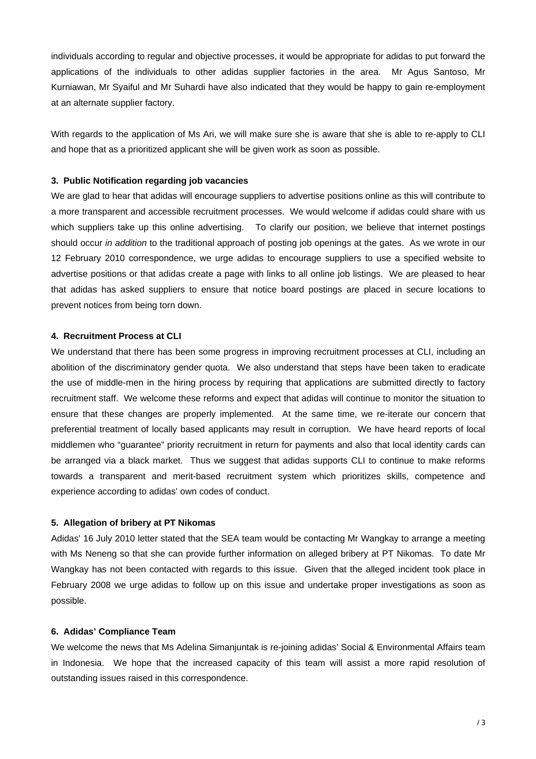individuals according to regular and objective processes, it would be appropriate for adidas to put forward the applications of the individuals to other adidas supplier factories in the area. Mr Agus Santoso, Mr Kurniawan, Mr Syaiful and Mr Suhardi have also indicated that they would be happy to gain re-employment at an alternate supplier factory.

With regards to the application of Ms Ari, we will make sure she is aware that she is able to re-apply to CLI and hope that as a prioritized applicant she will be given work as soon as possible.

### **3. Public Notification regarding job vacancies**

We are glad to hear that adidas will encourage suppliers to advertise positions online as this will contribute to a more transparent and accessible recruitment processes. We would welcome if adidas could share with us which suppliers take up this online advertising. To clarify our position, we believe that internet postings should occur *in addition* to the traditional approach of posting job openings at the gates. As we wrote in our 12 February 2010 correspondence, we urge adidas to encourage suppliers to use a specified website to advertise positions or that adidas create a page with links to all online job listings. We are pleased to hear that adidas has asked suppliers to ensure that notice board postings are placed in secure locations to prevent notices from being torn down.

### **4. Recruitment Process at CLI**

We understand that there has been some progress in improving recruitment processes at CLI, including an abolition of the discriminatory gender quota. We also understand that steps have been taken to eradicate the use of middle-men in the hiring process by requiring that applications are submitted directly to factory recruitment staff. We welcome these reforms and expect that adidas will continue to monitor the situation to ensure that these changes are properly implemented. At the same time, we re-iterate our concern that preferential treatment of locally based applicants may result in corruption. We have heard reports of local middlemen who "guarantee" priority recruitment in return for payments and also that local identity cards can be arranged via a black market. Thus we suggest that adidas supports CLI to continue to make reforms towards a transparent and merit-based recruitment system which prioritizes skills, competence and experience according to adidas' own codes of conduct.

### **5. Allegation of bribery at PT Nikomas**

Adidas' 16 July 2010 letter stated that the SEA team would be contacting Mr Wangkay to arrange a meeting with Ms Neneng so that she can provide further information on alleged bribery at PT Nikomas. To date Mr Wangkay has not been contacted with regards to this issue. Given that the alleged incident took place in February 2008 we urge adidas to follow up on this issue and undertake proper investigations as soon as possible.

# **6. Adidas' Compliance Team**

We welcome the news that Ms Adelina Simanjuntak is re-joining adidas' Social & Environmental Affairs team in Indonesia. We hope that the increased capacity of this team will assist a more rapid resolution of outstanding issues raised in this correspondence.